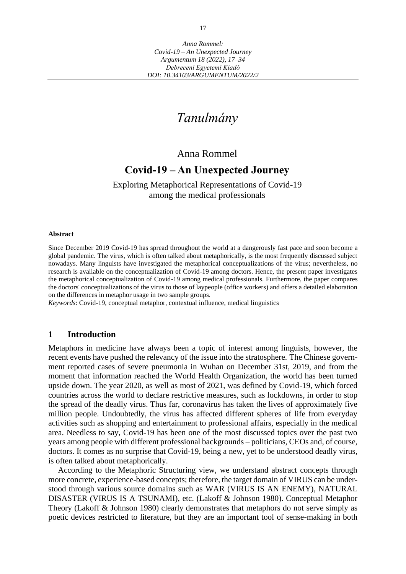# *Tanulmány*

### Anna Rommel

## **Covid-19 – An Unexpected Journey**

Exploring Metaphorical Representations of Covid-19 among the medical professionals

#### **Abstract**

Since December 2019 Covid-19 has spread throughout the world at a dangerously fast pace and soon become a global pandemic. The virus, which is often talked about metaphorically, is the most frequently discussed subject nowadays. Many linguists have investigated the metaphorical conceptualizations of the virus; nevertheless, no research is available on the conceptualization of Covid-19 among doctors. Hence, the present paper investigates the metaphorical conceptualization of Covid-19 among medical professionals. Furthermore, the paper compares the doctors' conceptualizations of the virus to those of laypeople (office workers) and offers a detailed elaboration on the differences in metaphor usage in two sample groups.

*Keywords*: Covid-19, conceptual metaphor, contextual influence, medical linguistics

#### **1 Introduction**

Metaphors in medicine have always been a topic of interest among linguists, however, the recent events have pushed the relevancy of the issue into the stratosphere. The Chinese government reported cases of severe pneumonia in Wuhan on December 31st, 2019, and from the moment that information reached the World Health Organization, the world has been turned upside down. The year 2020, as well as most of 2021, was defined by Covid-19, which forced countries across the world to declare restrictive measures, such as lockdowns, in order to stop the spread of the deadly virus. Thus far, coronavirus has taken the lives of approximately five million people. Undoubtedly, the virus has affected different spheres of life from everyday activities such as shopping and entertainment to professional affairs, especially in the medical area. Needless to say, Covid-19 has been one of the most discussed topics over the past two years among people with different professional backgrounds – politicians, CEOs and, of course, doctors. It comes as no surprise that Covid-19, being a new, yet to be understood deadly virus, is often talked about metaphorically.

According to the Metaphoric Structuring view, we understand abstract concepts through more concrete, experience-based concepts; therefore, the target domain of VIRUS can be understood through various source domains such as WAR (VIRUS IS AN ENEMY), NATURAL DISASTER (VIRUS IS A TSUNAMI), etc. (Lakoff & Johnson 1980). Conceptual Metaphor Theory (Lakoff & Johnson 1980) clearly demonstrates that metaphors do not serve simply as poetic devices restricted to literature, but they are an important tool of sense-making in both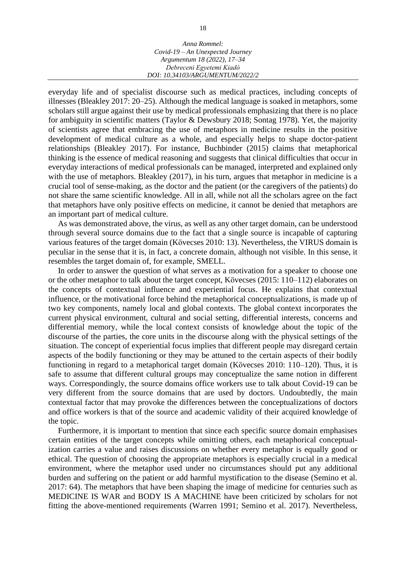everyday life and of specialist discourse such as medical practices, including concepts of illnesses (Bleakley 2017: 20–25). Although the medical language is soaked in metaphors, some scholars still argue against their use by medical professionals emphasizing that there is no place for ambiguity in scientific matters (Taylor & Dewsbury 2018; Sontag 1978). Yet, the majority of scientists agree that embracing the use of metaphors in medicine results in the positive development of medical culture as a whole, and especially helps to shape doctor-patient relationships (Bleakley 2017). For instance, Buchbinder (2015) claims that metaphorical thinking is the essence of medical reasoning and suggests that clinical difficulties that occur in everyday interactions of medical professionals can be managed, interpreted and explained only with the use of metaphors. Bleakley (2017), in his turn, argues that metaphor in medicine is a crucial tool of sense-making, as the doctor and the patient (or the caregivers of the patients) do not share the same scientific knowledge. All in all, while not all the scholars agree on the fact that metaphors have only positive effects on medicine, it cannot be denied that metaphors are an important part of medical culture.

As was demonstrated above, the virus, as well as any other target domain, can be understood through several source domains due to the fact that a single source is incapable of capturing various features of the target domain (Kövecses 2010: 13). Nevertheless, the VIRUS domain is peculiar in the sense that it is, in fact, a concrete domain, although not visible. In this sense, it resembles the target domain of, for example, SMELL.

In order to answer the question of what serves as a motivation for a speaker to choose one or the other metaphor to talk about the target concept, Kövecses (2015: 110–112) elaborates on the concepts of contextual influence and experiential focus. He explains that contextual influence, or the motivational force behind the metaphorical conceptualizations, is made up of two key components, namely local and global contexts. The global context incorporates the current physical environment, cultural and social setting, differential interests, concerns and differential memory, while the local context consists of knowledge about the topic of the discourse of the parties, the core units in the discourse along with the physical settings of the situation. The concept of experiential focus implies that different people may disregard certain aspects of the bodily functioning or they may be attuned to the certain aspects of their bodily functioning in regard to a metaphorical target domain (Kövecses 2010: 110–120). Thus, it is safe to assume that different cultural groups may conceptualize the same notion in different ways. Correspondingly, the source domains office workers use to talk about Covid-19 can be very different from the source domains that are used by doctors. Undoubtedly, the main contextual factor that may provoke the differences between the conceptualizations of doctors and office workers is that of the source and academic validity of their acquired knowledge of the topic.

Furthermore, it is important to mention that since each specific source domain emphasises certain entities of the target concepts while omitting others, each metaphorical conceptualization carries a value and raises discussions on whether every metaphor is equally good or ethical. The question of choosing the appropriate metaphors is especially crucial in a medical environment, where the metaphor used under no circumstances should put any additional burden and suffering on the patient or add harmful mystification to the disease (Semino et al. 2017: 64). The metaphors that have been shaping the image of medicine for centuries such as MEDICINE IS WAR and BODY IS A MACHINE have been criticized by scholars for not fitting the above-mentioned requirements (Warren 1991; Semino et al. 2017). Nevertheless,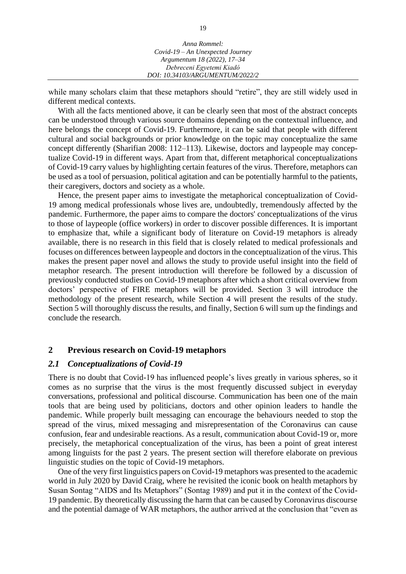| Anna Rommel:                       |  |
|------------------------------------|--|
| $Covid-19 - An Unexpected Journey$ |  |
| Argumentum 18 (2022), 17–34        |  |
| Debreceni Egyetemi Kiadó           |  |
| DOI: 10.34103/ARGUMENTUM/2022/2    |  |

while many scholars claim that these metaphors should "retire", they are still widely used in different medical contexts.

With all the facts mentioned above, it can be clearly seen that most of the abstract concepts can be understood through various source domains depending on the contextual influence, and here belongs the concept of Covid-19. Furthermore, it can be said that people with different cultural and social backgrounds or prior knowledge on the topic may conceptualize the same concept differently (Sharifian 2008: 112–113). Likewise, doctors and laypeople may conceptualize Covid-19 in different ways. Apart from that, different metaphorical conceptualizations of Covid-19 carry values by highlighting certain features of the virus. Therefore, metaphors can be used as a tool of persuasion, political agitation and can be potentially harmful to the patients, their caregivers, doctors and society as a whole.

Hence, the present paper aims to investigate the metaphorical conceptualization of Covid-19 among medical professionals whose lives are, undoubtedly, tremendously affected by the pandemic. Furthermore, the paper aims to compare the doctors' conceptualizations of the virus to those of laypeople (office workers) in order to discover possible differences. It is important to emphasize that, while a significant body of literature on Covid-19 metaphors is already available, there is no research in this field that is closely related to medical professionals and focuses on differences between laypeople and doctors in the conceptualization of the virus. This makes the present paper novel and allows the study to provide useful insight into the field of metaphor research. The present introduction will therefore be followed by a discussion of previously conducted studies on Covid-19 metaphors after which a short critical overview from doctors' perspective of FIRE metaphors will be provided. Section 3 will introduce the methodology of the present research, while Section 4 will present the results of the study. Section 5 will thoroughly discuss the results, and finally, Section 6 will sum up the findings and conclude the research.

#### **2 Previous research on Covid-19 metaphors**

#### *2.1 Conceptualizations of Covid-19*

There is no doubt that Covid-19 has influenced people's lives greatly in various spheres, so it comes as no surprise that the virus is the most frequently discussed subject in everyday conversations, professional and political discourse. Communication has been one of the main tools that are being used by politicians, doctors and other opinion leaders to handle the pandemic. While properly built messaging can encourage the behaviours needed to stop the spread of the virus, mixed messaging and misrepresentation of the Coronavirus can cause confusion, fear and undesirable reactions. As a result, communication about Covid-19 or, more precisely, the metaphorical conceptualization of the virus, has been a point of great interest among linguists for the past 2 years. The present section will therefore elaborate on previous linguistic studies on the topic of Covid-19 metaphors.

One of the very first linguistics papers on Covid-19 metaphors was presented to the academic world in July 2020 by David Craig, where he revisited the iconic book on health metaphors by Susan Sontag "AIDS and Its Metaphors" (Sontag 1989) and put it in the context of the Covid-19 pandemic. By theoretically discussing the harm that can be caused by Coronavirus discourse and the potential damage of WAR metaphors, the author arrived at the conclusion that "even as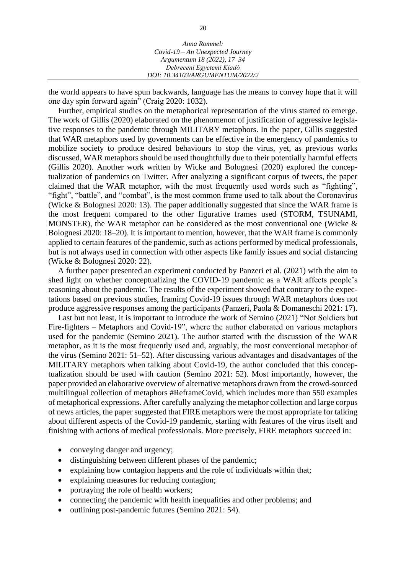| Anna Rommel:                       |  |
|------------------------------------|--|
| $Covid-19 - An Unexpected Journey$ |  |
| Argumentum 18 (2022), 17–34        |  |
| Debreceni Egyetemi Kiadó           |  |
| DOI: 10.34103/ARGUMENTUM/2022/2    |  |

the world appears to have spun backwards, language has the means to convey hope that it will one day spin forward again" (Craig 2020: 1032).

Further, empirical studies on the metaphorical representation of the virus started to emerge. The work of Gillis (2020) elaborated on the phenomenon of justification of aggressive legislative responses to the pandemic through MILITARY metaphors. In the paper, Gillis suggested that WAR metaphors used by governments can be effective in the emergency of pandemics to mobilize society to produce desired behaviours to stop the virus, yet, as previous works discussed, WAR metaphors should be used thoughtfully due to their potentially harmful effects (Gillis 2020). Another work written by Wicke and Bolognesi (2020) explored the conceptualization of pandemics on Twitter. After analyzing a significant corpus of tweets, the paper claimed that the WAR metaphor, with the most frequently used words such as "fighting", "fight", "battle", and "combat", is the most common frame used to talk about the Coronavirus (Wicke & Bolognesi 2020: 13). The paper additionally suggested that since the WAR frame is the most frequent compared to the other figurative frames used (STORM, TSUNAMI, MONSTER), the WAR metaphor can be considered as the most conventional one (Wicke  $\&$ Bolognesi 2020: 18–20). It is important to mention, however, that the WAR frame is commonly applied to certain features of the pandemic, such as actions performed by medical professionals, but is not always used in connection with other aspects like family issues and social distancing (Wicke & Bolognesi 2020: 22).

A further paper presented an experiment conducted by Panzeri et al. (2021) with the aim to shed light on whether conceptualizing the COVID-19 pandemic as a WAR affects people's reasoning about the pandemic. The results of the experiment showed that contrary to the expectations based on previous studies, framing Covid-19 issues through WAR metaphors does not produce aggressive responses among the participants (Panzeri, Paola & Domaneschi 2021: 17).

Last but not least, it is important to introduce the work of Semino (2021) "Not Soldiers but Fire-fighters – Metaphors and Covid-19", where the author elaborated on various metaphors used for the pandemic (Semino 2021). The author started with the discussion of the WAR metaphor, as it is the most frequently used and, arguably, the most conventional metaphor of the virus (Semino 2021: 51–52). After discussing various advantages and disadvantages of the MILITARY metaphors when talking about Covid-19, the author concluded that this conceptualization should be used with caution (Semino 2021: 52). Most importantly, however, the paper provided an elaborative overview of alternative metaphors drawn from the crowd-sourced multilingual collection of metaphors #ReframeCovid, which includes more than 550 examples of metaphorical expressions. After carefully analyzing the metaphor collection and large corpus of news articles, the paper suggested that FIRE metaphors were the most appropriate for talking about different aspects of the Covid-19 pandemic, starting with features of the virus itself and finishing with actions of medical professionals. More precisely, FIRE metaphors succeed in:

- conveying danger and urgency;
- distinguishing between different phases of the pandemic;
- explaining how contagion happens and the role of individuals within that;
- explaining measures for reducing contagion;
- portraying the role of health workers;
- connecting the pandemic with health inequalities and other problems; and
- outlining post-pandemic futures (Semino 2021: 54).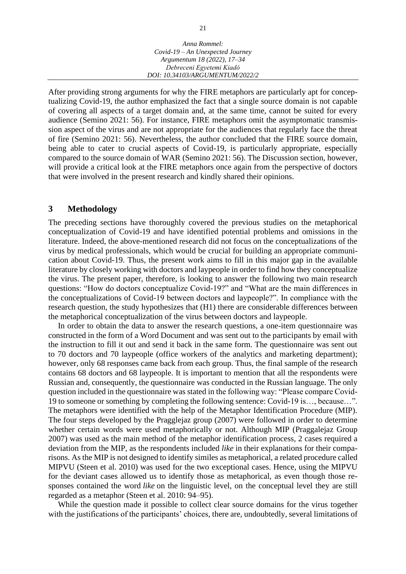| Anna Rommel:                     |
|----------------------------------|
| Covid-19 - An Unexpected Journey |
| Argumentum 18 (2022), 17-34      |
| Debreceni Egyetemi Kiadó         |
| DOI: 10.34103/ARGUMENTUM/2022/2  |

After providing strong arguments for why the FIRE metaphors are particularly apt for conceptualizing Covid-19, the author emphasized the fact that a single source domain is not capable of covering all aspects of a target domain and, at the same time, cannot be suited for every audience (Semino 2021: 56). For instance, FIRE metaphors omit the asymptomatic transmission aspect of the virus and are not appropriate for the audiences that regularly face the threat of fire (Semino 2021: 56). Nevertheless, the author concluded that the FIRE source domain, being able to cater to crucial aspects of Covid-19, is particularly appropriate, especially compared to the source domain of WAR (Semino 2021: 56). The Discussion section, however, will provide a critical look at the FIRE metaphors once again from the perspective of doctors that were involved in the present research and kindly shared their opinions.

#### **3 Methodology**

The preceding sections have thoroughly covered the previous studies on the metaphorical conceptualization of Covid-19 and have identified potential problems and omissions in the literature. Indeed, the above-mentioned research did not focus on the conceptualizations of the virus by medical professionals, which would be crucial for building an appropriate communication about Covid-19. Thus, the present work aims to fill in this major gap in the available literature by closely working with doctors and laypeople in order to find how they conceptualize the virus. The present paper, therefore, is looking to answer the following two main research questions: "How do doctors conceptualize Covid-19?" and "What are the main differences in the conceptualizations of Covid-19 between doctors and laypeople?". In compliance with the research question, the study hypothesizes that (H1) there are considerable differences between the metaphorical conceptualization of the virus between doctors and laypeople.

In order to obtain the data to answer the research questions, a one-item questionnaire was constructed in the form of a Word Document and was sent out to the participants by email with the instruction to fill it out and send it back in the same form. The questionnaire was sent out to 70 doctors and 70 laypeople (office workers of the analytics and marketing department); however, only 68 responses came back from each group. Thus, the final sample of the research contains 68 doctors and 68 laypeople. It is important to mention that all the respondents were Russian and, consequently, the questionnaire was conducted in the Russian language. The only question included in the questionnaire was stated in the following way: "Please compare Covid-19 to someone or something by completing the following sentence: Covid-19 is…, because…". The metaphors were identified with the help of the Metaphor Identification Procedure (MIP). The four steps developed by the Pragglejaz group (2007) were followed in order to determine whether certain words were used metaphorically or not. Although MIP (Praggalejaz Group 2007) was used as the main method of the metaphor identification process, 2 cases required a deviation from the MIP, as the respondents included *like* in their explanations for their comparisons. As the MIP is not designed to identify similes as metaphorical, a related procedure called MIPVU (Steen et al. 2010) was used for the two exceptional cases. Hence, using the MIPVU for the deviant cases allowed us to identify those as metaphorical, as even though those responses contained the word *like* on the linguistic level, on the conceptual level they are still regarded as a metaphor (Steen et al. 2010: 94–95).

While the question made it possible to collect clear source domains for the virus together with the justifications of the participants' choices, there are, undoubtedly, several limitations of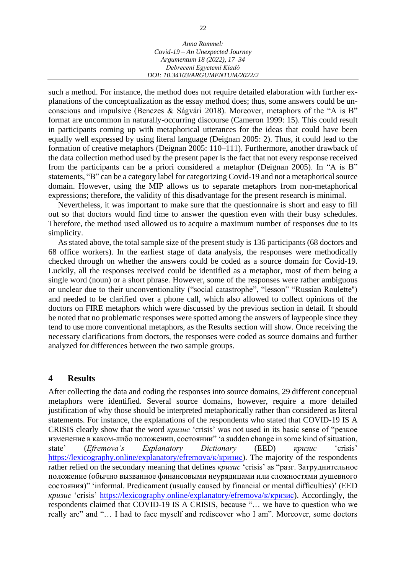such a method. For instance, the method does not require detailed elaboration with further explanations of the conceptualization as the essay method does; thus, some answers could be unconscious and impulsive (Benczes & Ságvári 2018). Moreover, metaphors of the "A is B" format are uncommon in naturally-occurring discourse (Cameron 1999: 15). This could result in participants coming up with metaphorical utterances for the ideas that could have been equally well expressed by using literal language (Deignan 2005: 2). Thus, it could lead to the formation of creative metaphors (Deignan 2005: 110–111). Furthermore, another drawback of the data collection method used by the present paper is the fact that not every response received from the participants can be a priori considered a metaphor (Deignan 2005). In "A is B" statements, "B" can be a category label for categorizing Covid-19 and not a metaphorical source domain. However, using the MIP allows us to separate metaphors from non-metaphorical expressions; therefore, the validity of this disadvantage for the present research is minimal.

Nevertheless, it was important to make sure that the questionnaire is short and easy to fill out so that doctors would find time to answer the question even with their busy schedules. Therefore, the method used allowed us to acquire a maximum number of responses due to its simplicity.

As stated above, the total sample size of the present study is 136 participants (68 doctors and 68 office workers). In the earliest stage of data analysis, the responses were methodically checked through on whether the answers could be coded as a source domain for Covid-19. Luckily, all the responses received could be identified as a metaphor, most of them being a single word (noun) or a short phrase. However, some of the responses were rather ambiguous or unclear due to their unconventionality ("social catastrophe", "lesson" "Russian Roulette'') and needed to be clarified over a phone call, which also allowed to collect opinions of the doctors on FIRE metaphors which were discussed by the previous section in detail. It should be noted that no problematic responses were spotted among the answers of laypeople since they tend to use more conventional metaphors, as the Results section will show. Once receiving the necessary clarifications from doctors, the responses were coded as source domains and further analyzed for differences between the two sample groups.

#### **4 Results**

After collecting the data and coding the responses into source domains, 29 different conceptual metaphors were identified. Several source domains, however, require a more detailed justification of why those should be interpreted metaphorically rather than considered as literal statements. For instance, the explanations of the respondents who stated that COVID-19 IS A CRISIS clearly show that the word *кризис* 'crisis' was not used in its basic sense of "резкое изменение в каком-либо положении, состоянии" 'a sudden change in some kind of situation, state' (*Efremova's Explanatory Dictionary* (EED) *кризис* 'crisis' [https://lexicography.online/explanatory/efremova/к/кризис\)](https://lexicography.online/explanatory/efremova/к/кризис). The majority of the respondents rather relied on the secondary meaning that defines *кризис* 'crisis' as "разг. Затруднительное положение (обычно вызванное финансовыми неурядицами или сложностями душевного состояния)" 'informal. Predicament (usually caused by financial or mental difficulties)' (EED *кризис* 'crisis' [https://lexicography.online/explanatory/efremova/к/кризис\)](https://lexicography.online/explanatory/efremova/к/кризис). Accordingly, the respondents claimed that COVID-19 IS A CRISIS, because "… we have to question who we really are" and "… I had to face myself and rediscover who I am". Moreover, some doctors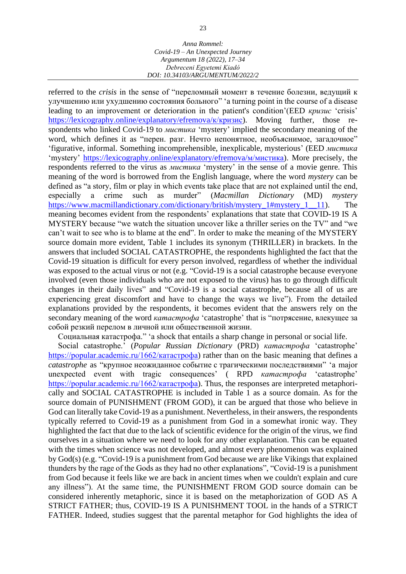referred to the *crisis* in the sense of "переломный момент в течение болезни, ведущий к улучшению или ухудшению состояния больного" 'a turning point in the course of a disease leading to an improvement or deterioration in the patient's condition'(EED *кризис* 'crisis' [https://lexicography.online/explanatory/efremova/к/кризис\)](https://lexicography.online/explanatory/efremova/к/кризис). Moving further, those respondents who linked Covid-19 to *мистика* 'mystery' implied the secondary meaning of the word, which defines it as "перен. разг. Нечто непонятное, необъяснимое, загадочное" 'figurative, informal. Something incomprehensible, inexplicable, mysterious' (EED *мистика* 'mystery' [https://lexicography.online/explanatory/efremova/м/мистика\)](https://lexicography.online/explanatory/efremova/м/мистика). More precisely, the respondents referred to the virus as *мистика* 'mystery' in the sense of a movie genre. This meaning of the word is borrowed from the English language, where the word *mystery* can be defined as "a story, film or play in which events take place that are not explained until the end, especially a crime such as murder" (*Macmillan Dictionary* (MD) *mystery* https://www.macmillandictionary.com/dictionary/british/mystery\_1#mystery\_1 \_11). The meaning becomes evident from the respondents' explanations that state that COVID-19 IS A MYSTERY because "we watch the situation uncover like a thriller series on the TV" and "we can't wait to see who is to blame at the end". In order to make the meaning of the MYSTERY source domain more evident, Table 1 includes its synonym (THRILLER) in brackets. In the answers that included SOCIAL CATASTROPHE, the respondents highlighted the fact that the Covid-19 situation is difficult for every person involved, regardless of whether the individual was exposed to the actual virus or not (e.g. "Covid-19 is a social catastrophe because everyone involved (even those individuals who are not exposed to the virus) has to go through difficult changes in their daily lives" and "Covid-19 is a social catastrophe, because all of us are experiencing great discomfort and have to change the ways we live"). From the detailed explanations provided by the respondents, it becomes evident that the answers rely on the secondary meaning of the word *катастрофа* 'catastrophe' that is "потрясение, влекущее за собой резкий перелом в личной или общественной жизни.

Социальная катастрофа." 'a shock that entails a sharp change in personal or social life.

Social catastrophe.' (*Popular Russian Dictionary* (PRD) *катастрофа* 'catastrophe' [https://popular.academic.ru/1662/катастрофа\)](https://popular.academic.ru/1662/катастрофа) rather than on the basic meaning that defines a *catastrophe* as "крупное неожиданное событие с трагическими последствиями" 'a major unexpected event with tragic consequences' ( RPD *катастрофа* 'catastrophe' [https://popular.academic.ru/1662/катастрофа\)](https://popular.academic.ru/1662/катастрофа). Thus, the responses are interpreted metaphorically and SOCIAL CATASTROPHE is included in Table 1 as a source domain. As for the source domain of PUNISHMENT (FROM GOD), it can be argued that those who believe in God can literally take Covid-19 as a punishment. Nevertheless, in their answers, the respondents typically referred to Covid-19 as a punishment from God in a somewhat ironic way. They highlighted the fact that due to the lack of scientific evidence for the origin of the virus, we find ourselves in a situation where we need to look for any other explanation. This can be equated with the times when science was not developed, and almost every phenomenon was explained by God(s) (e.g. "Covid-19 is a punishment from God because we are like Vikings that explained thunders by the rage of the Gods as they had no other explanations", "Covid-19 is a punishment from God because it feels like we are back in ancient times when we couldn't explain and cure any illness"). At the same time, the PUNISHMENT FROM GOD source domain can be considered inherently metaphoric, since it is based on the metaphorization of GOD AS A STRICT FATHER; thus, COVID-19 IS A PUNISHMENT TOOL in the hands of a STRICT FATHER. Indeed, studies suggest that the parental metaphor for God highlights the idea of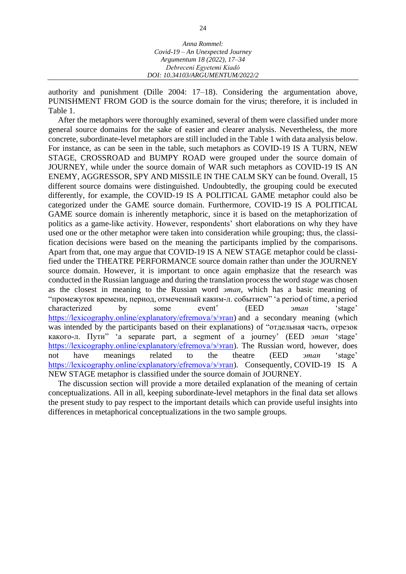| Anna Rommel:                       |  |
|------------------------------------|--|
| $Covid-19 - An Unexpected Journey$ |  |
| Argumentum 18 (2022), 17-34        |  |
| Debreceni Egyetemi Kiadó           |  |
| DOI: 10.34103/ARGUMENTUM/2022/2    |  |

authority and punishment (Dille 2004: 17–18). Considering the argumentation above, PUNISHMENT FROM GOD is the source domain for the virus; therefore, it is included in Table 1.

After the metaphors were thoroughly examined, several of them were classified under more general source domains for the sake of easier and clearer analysis. Nevertheless, the more concrete, subordinate-level metaphors are still included in the Table 1 with data analysis below. For instance, as can be seen in the table, such metaphors as COVID-19 IS A TURN, NEW STAGE, CROSSROAD and BUMPY ROAD were grouped under the source domain of JOURNEY, while under the source domain of WAR such metaphors as COVID-19 IS AN ENEMY, AGGRESSOR, SPY AND MISSILE IN THE CALM SKY can be found. Overall, 15 different source domains were distinguished. Undoubtedly, the grouping could be executed differently, for example, the COVID-19 IS A POLITICAL GAME metaphor could also be categorized under the GAME source domain. Furthermore, COVID-19 IS A POLITICAL GAME source domain is inherently metaphoric, since it is based on the metaphorization of politics as a game-like activity. However, respondents' short elaborations on why they have used one or the other metaphor were taken into consideration while grouping; thus, the classification decisions were based on the meaning the participants implied by the comparisons. Apart from that, one may argue that COVID-19 IS A NEW STAGE metaphor could be classified under the THEATRE PERFORMANCE source domain rather than under the JOURNEY source domain. However, it is important to once again emphasize that the research was conducted in the Russian language and during the translation process the word *stage* was chosen as the closest in meaning to the Russian word *этап*, which has a basic meaning of "промежуток времени, период, отмеченный каким-л. событием" 'a period of time, a period characterized by some event' (EED *этап* 'stage' [https://lexicography.online/explanatory/efremova/э/этап\)](https://lexicography.online/explanatory/efremova/э/этап) and a secondary meaning (which was intended by the participants based on their explanations) of "отдельная часть, отрезок какого-л. Пути" 'a separate part, a segment of a journey' (EED *этап* 'stage' [https://lexicography.online/explanatory/efremova/э/этап\)](https://lexicography.online/explanatory/efremova/э/этап). The Russian word, however, does not have meanings related to the theatre (EED *этап* 'stage' [https://lexicography.online/explanatory/efremova/э/этап\)](https://lexicography.online/explanatory/efremova/э/этап). Consequently, COVID-19 IS A NEW STAGE metaphor is classified under the source domain of JOURNEY.

The discussion section will provide a more detailed explanation of the meaning of certain conceptualizations. All in all, keeping subordinate-level metaphors in the final data set allows the present study to pay respect to the important details which can provide useful insights into differences in metaphorical conceptualizations in the two sample groups.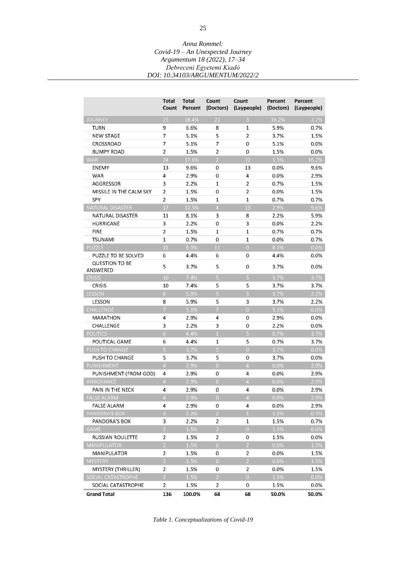|                                   | Total<br>Count          | Total<br>Percent | Count<br>(Doctors)      | Count<br>(Laypeople)    | Percent<br>(Doctors) | Percent<br>(Laypeople) |
|-----------------------------------|-------------------------|------------------|-------------------------|-------------------------|----------------------|------------------------|
| <b>JOURNEY</b>                    | 25                      | 18.4%            | 22                      | $\overline{3}$          | 16.2%                | 2.2%                   |
| <b>TURN</b>                       | 9                       | 6.6%             | 8                       | 1                       | 5.9%                 | 0.7%                   |
| <b>NEW STAGE</b>                  | $\overline{7}$          | 5.1%             | 5                       | $\overline{2}$          | 3.7%                 | 1.5%                   |
| CROSSROAD                         | 7                       | 5.1%             | 7                       | 0                       | 5.1%                 | 0.0%                   |
| <b>BUMPY ROAD</b>                 | $\overline{2}$          | 1.5%             | $\overline{2}$          | 0                       | 1.5%                 | 0.0%                   |
| <b>WAR</b>                        | 24                      | 17.6%            | $\overline{2}$          | 22                      | 1.5%                 | 16.2%                  |
| <b>ENEMY</b>                      | 13                      | 9.6%             | 0                       | 13                      | 0.0%                 | 9.6%                   |
| <b>WAR</b>                        | 4                       | 2.9%             | 0                       | $\overline{\mathbf{4}}$ | 0.0%                 | 2.9%                   |
| AGGRESSOR                         | 3                       | 2.2%             | $\mathbf{1}$            | $\overline{2}$          | 0.7%                 | 1.5%                   |
| MISSILE IN THE CALM SKY           | $\overline{2}$          | 1.5%             | 0                       | $\overline{2}$          | 0.0%                 | 1.5%                   |
| SPY                               | $\overline{2}$          | 1.5%             | $\mathbf{1}$            | $\mathbf{1}$            | 0.7%                 | 0.7%                   |
| NATURAL DISASTER                  | 17                      | 12.5%            | $\overline{4}$          | 13                      | 2.9%                 | 9.6%                   |
| NATURAL DISASTER                  | 11                      | 8.1%             | 3                       | 8                       | 2.2%                 | 5.9%                   |
| <b>HURRICANE</b>                  | $\overline{\mathbf{3}}$ | 2.2%             | 0                       | 3                       | 0.0%                 | 2.2%                   |
| <b>FIRE</b>                       | $\overline{2}$          | 1.5%             | 1                       | 1                       | 0.7%                 | 0.7%                   |
| <b>TSUNAMI</b>                    | $\mathbf{1}$            | 0.7%             | $\mathbf 0$             | $\mathbf{1}$            | 0.0%                 | 0.7%                   |
| PUZZLE                            | 11                      | 8.1%             | 11                      | $\overline{0}$          | 8.1%                 | 0.0%                   |
| PUZZLE TO BE SOLVED               | 6                       | 4.4%             | 6                       | 0                       | 4.4%                 | 0.0%                   |
| <b>QUESTION TO BE</b><br>ANSWERED | 5                       | 3.7%             | 5                       | 0                       | 3.7%                 | 0.0%                   |
| <b>CRISIS</b>                     | 10                      | 7.4%             | $\overline{5}$          | $\overline{5}$          | 3.7%                 | 3.7%                   |
| <b>CRISIS</b>                     | 10                      | 7.4%             | 5                       | 5                       | 3.7%                 | 3.7%                   |
| <b>LESSON</b>                     | 8                       | 5.9%             | $\overline{5}$          | $\overline{3}$          | 3.7%                 | 2.2%                   |
| LESSON                            | 8                       | 5.9%             | 5                       | 3                       | 3.7%                 | 2.2%                   |
| CHALLENGE                         | $\overline{7}$          | 5.1%             | $\overline{7}$          | $\overline{O}$          | 5.1%                 | 0.0%                   |
| MARATHON                          | 4                       | 2.9%             | 4                       | 0                       | 2.9%                 | 0.0%                   |
| <b>CHALLENGE</b>                  | 3                       | 2.2%             | $\overline{\mathbf{3}}$ | 0                       | 2.2%                 | 0.0%                   |
| <b>POLITICS</b>                   | $\overline{6}$          | 4.4%             | $\overline{1}$          | $\overline{5}$          | 0.7%                 | 3.7%                   |
| POLITICAL GAME                    | 6                       | 4.4%             | $\mathbf{1}$            | 5                       | 0.7%                 | 3.7%                   |
| PUSH TO CHANGE                    | $\overline{5}$          | 3.7%             | $\overline{5}$          | $\overline{0}$          | 3.7%                 | 0.0%                   |
| PUSH TO CHANGE                    | 5                       | 3.7%             | 5                       | 0                       | 3.7%                 | 0.0%                   |
| PUNISHMENT                        | $\overline{4}$          | 2.9%             | $\overline{0}$          | $\overline{4}$          | 0.0%                 | 2.9%                   |
| PUNISHMENT (FROM GOD)             | 4                       | 2.9%             | 0                       | 4                       | 0.0%                 | 2.9%                   |
| ANNOYANCE                         | $\overline{4}$          | 2.9%             | $\overline{0}$          | $\overline{4}$          | 0.0%                 | 2.9%                   |
| PAIN IN THE NECK                  | 4                       | 2.9%             | 0                       | 4                       | 0.0%                 | 2.9%                   |
| <b>FALSE ALARM</b>                | $\overline{A}$          | 2.9%             | $\overline{0}$          | $\overline{4}$          | 0.0%                 | 2.9%                   |
| <b>FALSE ALARM</b>                | 4                       | 2.9%             | 0                       | 4                       | 0.0%                 | 2.9%                   |
| PANDORA'S BOX                     | $\overline{3}$          | 2.2%             | $\overline{2}$          | $\,1\,$                 | 1.5%                 | 0.7%                   |
| PANDORA'S BOX                     | 3                       | 2.2%             | $\overline{2}$          | 1                       | 1.5%                 | 0.7%                   |
| <b>GAME</b>                       | $\overline{2}$          | 1.5%             | $\overline{2}$          | $\overline{0}$          | 1.5%                 | 0.0%                   |
| <b>RUSSIAN ROULETTE</b>           | $\overline{a}$          | 1.5%             | $\overline{2}$          | 0                       | 1.5%                 | 0.0%                   |
| <b>MANIPULATOR</b>                | $\overline{2}$          | 1.5%             | $\overline{0}$          | $\overline{2}$          | 0.0%                 | 1.5%                   |
| <b>MANIPULATOR</b>                | $\overline{2}$          | 1.5%             | 0                       | $\overline{2}$          | 0.0%                 | 1.5%                   |
| <b>MYSTERY</b>                    | $\overline{2}$          | 1.5%             | $\overline{0}$          | $\overline{2}$          | 0.0%                 | 1.5%                   |
| MYSTERY (THRILLER)                | $\overline{2}$          | 1.5%             | 0                       | $\overline{2}$          | 0.0%                 | 1.5%                   |
| SOCIAL CATASTROPHE                | $\overline{2}$          | 1.5%             | $\overline{2}$          | $\overline{0}$          | 1.5%                 | 0.0%                   |
| SOCIAL CATASTROPHE                | $\overline{2}$          | 1.5%             | $\overline{2}$          | 0                       | 1.5%                 | $0.0\%$                |
| <b>Grand Total</b>                | 136                     | 100.0%           | 68                      | 68                      | 50.0%                | 50.0%                  |

*Table 1. Conceptualizations of Covid-19*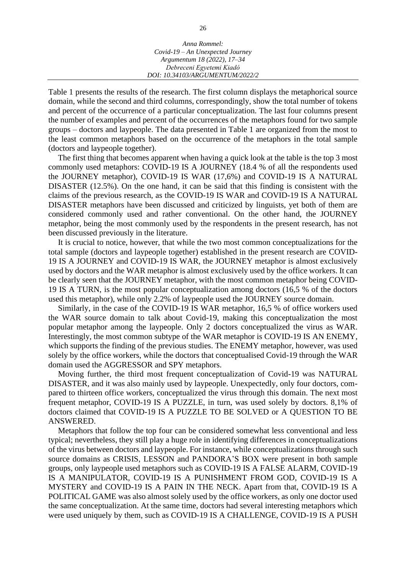| Anna Rommel:                       |
|------------------------------------|
| $Covid-19 - An Unexpected Journey$ |
| Argumentum 18 (2022), 17-34        |
| Debreceni Egyetemi Kiadó           |
| DOI: 10.34103/ARGUMENTUM/2022/2    |

Table 1 presents the results of the research. The first column displays the metaphorical source domain, while the second and third columns, correspondingly, show the total number of tokens and percent of the occurrence of a particular conceptualization. The last four columns present the number of examples and percent of the occurrences of the metaphors found for two sample groups – doctors and laypeople. The data presented in Table 1 are organized from the most to the least common metaphors based on the occurrence of the metaphors in the total sample (doctors and laypeople together).

The first thing that becomes apparent when having a quick look at the table is the top 3 most commonly used metaphors: COVID-19 IS A JOURNEY (18.4 % of all the respondents used the JOURNEY metaphor), COVID-19 IS WAR (17,6%) and COVID-19 IS A NATURAL DISASTER (12.5%). On the one hand, it can be said that this finding is consistent with the claims of the previous research, as the COVID-19 IS WAR and COVID-19 IS A NATURAL DISASTER metaphors have been discussed and criticized by linguists, yet both of them are considered commonly used and rather conventional. On the other hand, the JOURNEY metaphor, being the most commonly used by the respondents in the present research, has not been discussed previously in the literature.

It is crucial to notice, however, that while the two most common conceptualizations for the total sample (doctors and laypeople together) established in the present research are COVID-19 IS A JOURNEY and COVID-19 IS WAR, the JOURNEY metaphor is almost exclusively used by doctors and the WAR metaphor is almost exclusively used by the office workers. It can be clearly seen that the JOURNEY metaphor, with the most common metaphor being COVID-19 IS A TURN, is the most popular conceptualization among doctors (16,5 % of the doctors used this metaphor), while only 2.2% of laypeople used the JOURNEY source domain.

Similarly, in the case of the COVID-19 IS WAR metaphor, 16,5 % of office workers used the WAR source domain to talk about Covid-19, making this conceptualization the most popular metaphor among the laypeople. Only 2 doctors conceptualized the virus as WAR. Interestingly, the most common subtype of the WAR metaphor is COVID-19 IS AN ENEMY, which supports the finding of the previous studies. The ENEMY metaphor, however, was used solely by the office workers, while the doctors that conceptualised Covid-19 through the WAR domain used the AGGRESSOR and SPY metaphors.

Moving further, the third most frequent conceptualization of Covid-19 was NATURAL DISASTER, and it was also mainly used by laypeople. Unexpectedly, only four doctors, compared to thirteen office workers, conceptualized the virus through this domain. The next most frequent metaphor, COVID-19 IS A PUZZLE, in turn, was used solely by doctors. 8,1% of doctors claimed that COVID-19 IS A PUZZLE TO BE SOLVED or A QUESTION TO BE ANSWERED.

Metaphors that follow the top four can be considered somewhat less conventional and less typical; nevertheless, they still play a huge role in identifying differences in conceptualizations of the virus between doctors and laypeople. For instance, while conceptualizations through such source domains as CRISIS, LESSON and PANDORA'S BOX were present in both sample groups, only laypeople used metaphors such as COVID-19 IS A FALSE ALARM, COVID-19 IS A MANIPULATOR, COVID-19 IS A PUNISHMENT FROM GOD, COVID-19 IS A MYSTERY and COVID-19 IS A PAIN IN THE NECK. Apart from that, COVID-19 IS A POLITICAL GAME was also almost solely used by the office workers, as only one doctor used the same conceptualization. At the same time, doctors had several interesting metaphors which were used uniquely by them, such as COVID-19 IS A CHALLENGE, COVID-19 IS A PUSH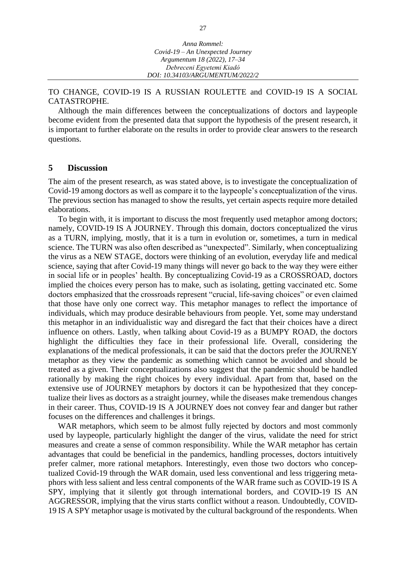TO CHANGE, COVID-19 IS A RUSSIAN ROULETTE and COVID-19 IS A SOCIAL CATASTROPHE.

Although the main differences between the conceptualizations of doctors and laypeople become evident from the presented data that support the hypothesis of the present research, it is important to further elaborate on the results in order to provide clear answers to the research questions.

#### **5 Discussion**

The aim of the present research, as was stated above, is to investigate the conceptualization of Covid-19 among doctors as well as compare it to the laypeople's conceptualization of the virus. The previous section has managed to show the results, yet certain aspects require more detailed elaborations.

To begin with, it is important to discuss the most frequently used metaphor among doctors; namely, COVID-19 IS A JOURNEY. Through this domain, doctors conceptualized the virus as a TURN, implying, mostly, that it is a turn in evolution or, sometimes, a turn in medical science. The TURN was also often described as "unexpected". Similarly, when conceptualizing the virus as a NEW STAGE, doctors were thinking of an evolution, everyday life and medical science, saying that after Covid-19 many things will never go back to the way they were either in social life or in peoples' health. By conceptualizing Covid-19 as a CROSSROAD, doctors implied the choices every person has to make, such as isolating, getting vaccinated etc. Some doctors emphasized that the crossroads represent "crucial, life-saving choices" or even claimed that those have only one correct way. This metaphor manages to reflect the importance of individuals, which may produce desirable behaviours from people. Yet, some may understand this metaphor in an individualistic way and disregard the fact that their choices have a direct influence on others. Lastly, when talking about Covid-19 as a BUMPY ROAD, the doctors highlight the difficulties they face in their professional life. Overall, considering the explanations of the medical professionals, it can be said that the doctors prefer the JOURNEY metaphor as they view the pandemic as something which cannot be avoided and should be treated as a given. Their conceptualizations also suggest that the pandemic should be handled rationally by making the right choices by every individual. Apart from that, based on the extensive use of JOURNEY metaphors by doctors it can be hypothesized that they conceptualize their lives as doctors as a straight journey, while the diseases make tremendous changes in their career. Thus, COVID-19 IS A JOURNEY does not convey fear and danger but rather focuses on the differences and challenges it brings.

WAR metaphors, which seem to be almost fully rejected by doctors and most commonly used by laypeople, particularly highlight the danger of the virus, validate the need for strict measures and create a sense of common responsibility. While the WAR metaphor has certain advantages that could be beneficial in the pandemics, handling processes, doctors intuitively prefer calmer, more rational metaphors. Interestingly, even those two doctors who conceptualized Covid-19 through the WAR domain, used less conventional and less triggering metaphors with less salient and less central components of the WAR frame such as COVID-19 IS A SPY, implying that it silently got through international borders, and COVID-19 IS AN AGGRESSOR, implying that the virus starts conflict without a reason. Undoubtedly, COVID-19 IS A SPY metaphor usage is motivated by the cultural background of the respondents. When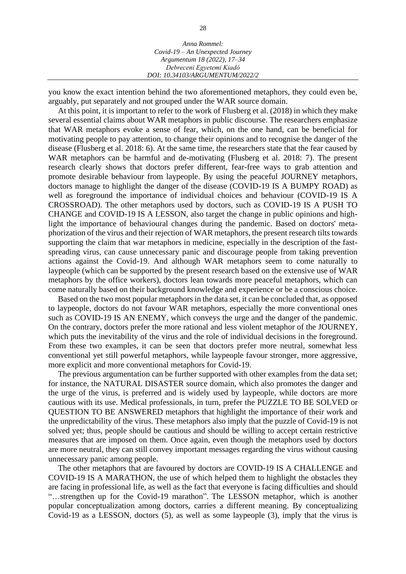| Anna Rommel:                       |  |
|------------------------------------|--|
| $Covid-19 - An Unexpected Journey$ |  |
| Argumentum 18 (2022), 17–34        |  |
| Debreceni Egyetemi Kiadó           |  |
| DOI: 10.34103/ARGUMENTUM/2022/2    |  |
|                                    |  |

you know the exact intention behind the two aforementioned metaphors, they could even be, arguably, put separately and not grouped under the WAR source domain.

At this point, it is important to refer to the work of Flusberg et al. (2018) in which they make several essential claims about WAR metaphors in public discourse. The researchers emphasize that WAR metaphors evoke a sense of fear, which, on the one hand, can be beneficial for motivating people to pay attention, to change their opinions and to recognise the danger of the disease (Flusberg et al. 2018: 6). At the same time, the researchers state that the fear caused by WAR metaphors can be harmful and de-motivating (Flusberg et al. 2018: 7). The present research clearly shows that doctors prefer different, fear-free ways to grab attention and promote desirable behaviour from laypeople. By using the peaceful JOURNEY metaphors, doctors manage to highlight the danger of the disease (COVID-19 IS A BUMPY ROAD) as well as foreground the importance of individual choices and behaviour (COVID-19 IS A CROSSROAD). The other metaphors used by doctors, such as COVID-19 IS A PUSH TO CHANGE and COVID-19 IS A LESSON, also target the change in public opinions and highlight the importance of behavioural changes during the pandemic. Based on doctors' metaphorization of the virus and their rejection of WAR metaphors, the present research tilts towards supporting the claim that war metaphors in medicine, especially in the description of the fastspreading virus, can cause unnecessary panic and discourage people from taking prevention actions against the Covid-19. And although WAR metaphors seem to come naturally to laypeople (which can be supported by the present research based on the extensive use of WAR metaphors by the office workers), doctors lean towards more peaceful metaphors, which can come naturally based on their background knowledge and experience or be a conscious choice.

Based on the two most popular metaphors in the data set, it can be concluded that, as opposed to laypeople, doctors do not favour WAR metaphors, especially the more conventional ones such as COVID-19 IS AN ENEMY, which conveys the urge and the danger of the pandemic. On the contrary, doctors prefer the more rational and less violent metaphor of the JOURNEY, which puts the inevitability of the virus and the role of individual decisions in the foreground. From these two examples, it can be seen that doctors prefer more neutral, somewhat less conventional yet still powerful metaphors, while laypeople favour stronger, more aggressive, more explicit and more conventional metaphors for Covid-19.

The previous argumentation can be further supported with other examples from the data set; for instance, the NATURAL DISASTER source domain, which also promotes the danger and the urge of the virus, is preferred and is widely used by laypeople, while doctors are more cautious with its use. Medical professionals, in turn, prefer the PUZZLE TO BE SOLVED or QUESTION TO BE ANSWERED metaphors that highlight the importance of their work and the unpredictability of the virus. These metaphors also imply that the puzzle of Covid-19 is not solved yet; thus, people should be cautious and should be willing to accept certain restrictive measures that are imposed on them. Once again, even though the metaphors used by doctors are more neutral, they can still convey important messages regarding the virus without causing unnecessary panic among people.

The other metaphors that are favoured by doctors are COVID-19 IS A CHALLENGE and COVID-19 IS A MARATHON, the use of which helped them to highlight the obstacles they are facing in professional life, as well as the fact that everyone is facing difficulties and should "…strengthen up for the Covid-19 marathon". The LESSON metaphor, which is another popular conceptualization among doctors, carries a different meaning. By conceptualizing Covid-19 as a LESSON, doctors (5), as well as some laypeople (3), imply that the virus is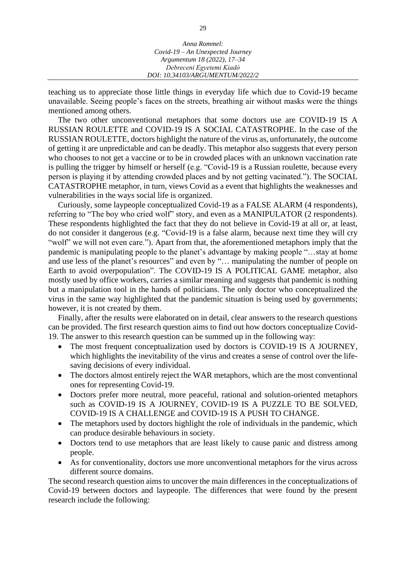teaching us to appreciate those little things in everyday life which due to Covid-19 became unavailable. Seeing people's faces on the streets, breathing air without masks were the things mentioned among others.

The two other unconventional metaphors that some doctors use are COVID-19 IS A RUSSIAN ROULETTE and COVID-19 IS A SOCIAL CATASTROPHE. In the case of the RUSSIAN ROULETTE, doctors highlight the nature of the virus as, unfortunately, the outcome of getting it are unpredictable and can be deadly. This metaphor also suggests that every person who chooses to not get a vaccine or to be in crowded places with an unknown vaccination rate is pulling the trigger by himself or herself (e.g. "Covid-19 is a Russian roulette, because every person is playing it by attending crowded places and by not getting vacinated."). The SOCIAL CATASTROPHE metaphor, in turn, views Covid as a event that highlights the weaknesses and vulnerabilities in the ways social life is organized.

Curiously, some laypeople conceptualized Covid-19 as a FALSE ALARM (4 respondents), referring to "The boy who cried wolf" story, and even as a MANIPULATOR (2 respondents). These respondents highlighted the fact that they do not believe in Covid-19 at all or, at least, do not consider it dangerous (e.g. "Covid-19 is a false alarm, because next time they will cry "wolf" we will not even care."). Apart from that, the aforementioned metaphors imply that the pandemic is manipulating people to the planet's advantage by making people "…stay at home and use less of the planet's resources" and even by "… manipulating the number of people on Earth to avoid overpopulation". The COVID-19 IS A POLITICAL GAME metaphor, also mostly used by office workers, carries a similar meaning and suggests that pandemic is nothing but a manipulation tool in the hands of politicians. The only doctor who conceptualized the virus in the same way highlighted that the pandemic situation is being used by governments; however, it is not created by them.

Finally, after the results were elaborated on in detail, clear answers to the research questions can be provided. The first research question aims to find out how doctors conceptualize Covid-19. The answer to this research question can be summed up in the following way:

- The most frequent conceptualization used by doctors is COVID-19 IS A JOURNEY, which highlights the inevitability of the virus and creates a sense of control over the lifesaving decisions of every individual.
- The doctors almost entirely reject the WAR metaphors, which are the most conventional ones for representing Covid-19.
- Doctors prefer more neutral, more peaceful, rational and solution-oriented metaphors such as COVID-19 IS A JOURNEY, COVID-19 IS A PUZZLE TO BE SOLVED, COVID-19 IS A CHALLENGE and COVID-19 IS A PUSH TO CHANGE.
- The metaphors used by doctors highlight the role of individuals in the pandemic, which can produce desirable behaviours in society.
- Doctors tend to use metaphors that are least likely to cause panic and distress among people.
- As for conventionality, doctors use more unconventional metaphors for the virus across different source domains.

The second research question aims to uncover the main differences in the conceptualizations of Covid-19 between doctors and laypeople. The differences that were found by the present research include the following: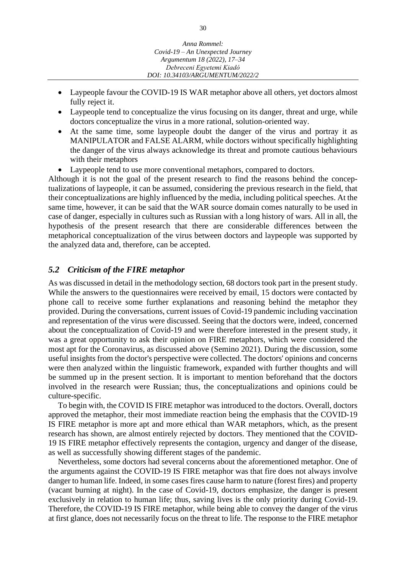- Laypeople favour the COVID-19 IS WAR metaphor above all others, yet doctors almost fully reject it.
- Laypeople tend to conceptualize the virus focusing on its danger, threat and urge, while doctors conceptualize the virus in a more rational, solution-oriented way.
- At the same time, some laypeople doubt the danger of the virus and portray it as MANIPULATOR and FALSE ALARM, while doctors without specifically highlighting the danger of the virus always acknowledge its threat and promote cautious behaviours with their metaphors
- Laypeople tend to use more conventional metaphors, compared to doctors.

Although it is not the goal of the present research to find the reasons behind the conceptualizations of laypeople, it can be assumed, considering the previous research in the field, that their conceptualizations are highly influenced by the media, including political speeches. At the same time, however, it can be said that the WAR source domain comes naturally to be used in case of danger, especially in cultures such as Russian with a long history of wars. All in all, the hypothesis of the present research that there are considerable differences between the metaphorical conceptualization of the virus between doctors and laypeople was supported by the analyzed data and, therefore, can be accepted.

#### *5.2 Criticism of the FIRE metaphor*

As was discussed in detail in the methodology section, 68 doctors took part in the present study. While the answers to the questionnaires were received by email, 15 doctors were contacted by phone call to receive some further explanations and reasoning behind the metaphor they provided. During the conversations, current issues of Covid-19 pandemic including vaccination and representation of the virus were discussed. Seeing that the doctors were, indeed, concerned about the conceptualization of Covid-19 and were therefore interested in the present study, it was a great opportunity to ask their opinion on FIRE metaphors, which were considered the most apt for the Coronavirus, as discussed above (Semino 2021). During the discussion, some useful insights from the doctor's perspective were collected. The doctors' opinions and concerns were then analyzed within the linguistic framework, expanded with further thoughts and will be summed up in the present section. It is important to mention beforehand that the doctors involved in the research were Russian; thus, the conceptualizations and opinions could be culture-specific.

To begin with, the COVID IS FIRE metaphor was introduced to the doctors. Overall, doctors approved the metaphor, their most immediate reaction being the emphasis that the COVID-19 IS FIRE metaphor is more apt and more ethical than WAR metaphors, which, as the present research has shown, are almost entirely rejected by doctors. They mentioned that the COVID-19 IS FIRE metaphor effectively represents the contagion, urgency and danger of the disease, as well as successfully showing different stages of the pandemic.

Nevertheless, some doctors had several concerns about the aforementioned metaphor. One of the arguments against the COVID-19 IS FIRE metaphor was that fire does not always involve danger to human life. Indeed, in some cases fires cause harm to nature (forest fires) and property (vacant burning at night). In the case of Covid-19, doctors emphasize, the danger is present exclusively in relation to human life; thus, saving lives is the only priority during Covid-19. Therefore, the COVID-19 IS FIRE metaphor, while being able to convey the danger of the virus at first glance, does not necessarily focus on the threat to life. The response to the FIRE metaphor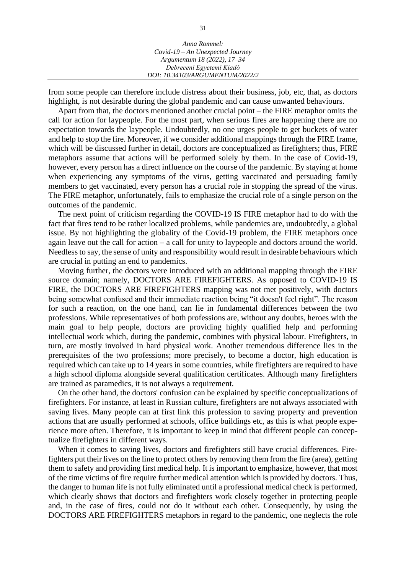| Anna Rommel:                       |  |
|------------------------------------|--|
| $Covid-19 - An Unexpected Journey$ |  |
| Argumentum 18 (2022), 17–34        |  |
| Debreceni Egyetemi Kiadó           |  |
| DOI: 10.34103/ARGUMENTUM/2022/2    |  |

from some people can therefore include distress about their business, job, etc, that, as doctors highlight, is not desirable during the global pandemic and can cause unwanted behaviours.

Apart from that, the doctors mentioned another crucial point – the FIRE metaphor omits the call for action for laypeople. For the most part, when serious fires are happening there are no expectation towards the laypeople. Undoubtedly, no one urges people to get buckets of water and help to stop the fire. Moreover, if we consider additional mappings through the FIRE frame, which will be discussed further in detail, doctors are conceptualized as firefighters; thus, FIRE metaphors assume that actions will be performed solely by them. In the case of Covid-19, however, every person has a direct influence on the course of the pandemic. By staying at home when experiencing any symptoms of the virus, getting vaccinated and persuading family members to get vaccinated, every person has a crucial role in stopping the spread of the virus. The FIRE metaphor, unfortunately, fails to emphasize the crucial role of a single person on the outcomes of the pandemic.

The next point of criticism regarding the COVID-19 IS FIRE metaphor had to do with the fact that fires tend to be rather localized problems, while pandemics are, undoubtedly, a global issue. By not highlighting the globality of the Covid-19 problem, the FIRE metaphors once again leave out the call for action – a call for unity to laypeople and doctors around the world. Needless to say, the sense of unity and responsibility would result in desirable behaviours which are crucial in putting an end to pandemics.

Moving further, the doctors were introduced with an additional mapping through the FIRE source domain; namely, DOCTORS ARE FIREFIGHTERS. As opposed to COVID-19 IS FIRE, the DOCTORS ARE FIREFIGHTERS mapping was not met positively, with doctors being somewhat confused and their immediate reaction being "it doesn't feel right". The reason for such a reaction, on the one hand, can lie in fundamental differences between the two professions. While representatives of both professions are, without any doubts, heroes with the main goal to help people, doctors are providing highly qualified help and performing intellectual work which, during the pandemic, combines with physical labour. Firefighters, in turn, are mostly involved in hard physical work. Another tremendous difference lies in the prerequisites of the two professions; more precisely, to become a doctor, high education is required which can take up to 14 years in some countries, while firefighters are required to have a high school diploma alongside several qualification certificates. Although many firefighters are trained as paramedics, it is not always a requirement.

On the other hand, the doctors' confusion can be explained by specific conceptualizations of firefighters. For instance, at least in Russian culture, firefighters are not always associated with saving lives. Many people can at first link this profession to saving property and prevention actions that are usually performed at schools, office buildings etc, as this is what people experience more often. Therefore, it is important to keep in mind that different people can conceptualize firefighters in different ways.

When it comes to saving lives, doctors and firefighters still have crucial differences. Firefighters put their lives on the line to protect others by removing them from the fire (area), getting them to safety and providing first medical help. It is important to emphasize, however, that most of the time victims of fire require further medical attention which is provided by doctors. Thus, the danger to human life is not fully eliminated until a professional medical check is performed, which clearly shows that doctors and firefighters work closely together in protecting people and, in the case of fires, could not do it without each other. Consequently, by using the DOCTORS ARE FIREFIGHTERS metaphors in regard to the pandemic, one neglects the role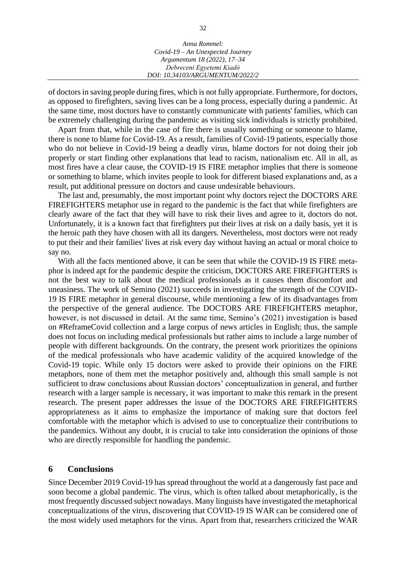| Anna Rommel:                     |
|----------------------------------|
| Covid-19 - An Unexpected Journey |
| Argumentum 18 (2022), 17-34      |
| Debreceni Egyetemi Kiadó         |
| DOI: 10.34103/ARGUMENTUM/2022/2  |

of doctors in saving people during fires, which is not fully appropriate. Furthermore, for doctors, as opposed to firefighters, saving lives can be a long process, especially during a pandemic. At the same time, most doctors have to constantly communicate with patients' families, which can be extremely challenging during the pandemic as visiting sick individuals is strictly prohibited.

Apart from that, while in the case of fire there is usually something or someone to blame, there is none to blame for Covid-19. As a result, families of Covid-19 patients, especially those who do not believe in Covid-19 being a deadly virus, blame doctors for not doing their job properly or start finding other explanations that lead to racism, nationalism etc. All in all, as most fires have a clear cause, the COVID-19 IS FIRE metaphor implies that there is someone or something to blame, which invites people to look for different biased explanations and, as a result, put additional pressure on doctors and cause undesirable behaviours.

The last and, presumably, the most important point why doctors reject the DOCTORS ARE FIREFIGHTERS metaphor use in regard to the pandemic is the fact that while firefighters are clearly aware of the fact that they will have to risk their lives and agree to it, doctors do not. Unfortunately, it is a known fact that firefighters put their lives at risk on a daily basis, yet it is the heroic path they have chosen with all its dangers. Nevertheless, most doctors were not ready to put their and their families' lives at risk every day without having an actual or moral choice to say no.

With all the facts mentioned above, it can be seen that while the COVID-19 IS FIRE metaphor is indeed apt for the pandemic despite the criticism, DOCTORS ARE FIREFIGHTERS is not the best way to talk about the medical professionals as it causes them discomfort and uneasiness. The work of Semino (2021) succeeds in investigating the strength of the COVID-19 IS FIRE metaphor in general discourse, while mentioning a few of its disadvantages from the perspective of the general audience. The DOCTORS ARE FIREFIGHTERS metaphor, however, is not discussed in detail. At the same time, Semino's (2021) investigation is based on #ReframeCovid collection and a large corpus of news articles in English; thus, the sample does not focus on including medical professionals but rather aims to include a large number of people with different backgrounds. On the contrary, the present work prioritizes the opinions of the medical professionals who have academic validity of the acquired knowledge of the Covid-19 topic. While only 15 doctors were asked to provide their opinions on the FIRE metaphors, none of them met the metaphor positively and, although this small sample is not sufficient to draw conclusions about Russian doctors' conceptualization in general, and further research with a larger sample is necessary, it was important to make this remark in the present research. The present paper addresses the issue of the DOCTORS ARE FIREFIGHTERS appropriateness as it aims to emphasize the importance of making sure that doctors feel comfortable with the metaphor which is advised to use to conceptualize their contributions to the pandemics. Without any doubt, it is crucial to take into consideration the opinions of those who are directly responsible for handling the pandemic.

#### **6 Conclusions**

Since December 2019 Covid-19 has spread throughout the world at a dangerously fast pace and soon become a global pandemic. The virus, which is often talked about metaphorically, is the most frequently discussed subject nowadays. Many linguists have investigated the metaphorical conceptualizations of the virus, discovering that COVID-19 IS WAR can be considered one of the most widely used metaphors for the virus. Apart from that, researchers criticized the WAR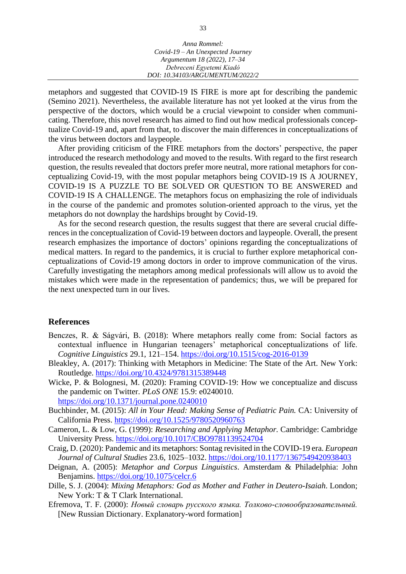| Anna Rommel:                     |
|----------------------------------|
| Covid-19 - An Unexpected Journey |
| Argumentum 18 (2022), 17-34      |
| Debreceni Egyetemi Kiadó         |
| DOI: 10.34103/ARGUMENTUM/2022/2  |

metaphors and suggested that COVID-19 IS FIRE is more apt for describing the pandemic (Semino 2021). Nevertheless, the available literature has not yet looked at the virus from the perspective of the doctors, which would be a crucial viewpoint to consider when communicating. Therefore, this novel research has aimed to find out how medical professionals conceptualize Covid-19 and, apart from that, to discover the main differences in conceptualizations of the virus between doctors and laypeople.

After providing criticism of the FIRE metaphors from the doctors' perspective, the paper introduced the research methodology and moved to the results. With regard to the first research question, the results revealed that doctors prefer more neutral, more rational metaphors for conceptualizing Covid-19, with the most popular metaphors being COVID-19 IS A JOURNEY, COVID-19 IS A PUZZLE TO BE SOLVED OR QUESTION TO BE ANSWERED and COVID-19 IS A CHALLENGE. The metaphors focus on emphasizing the role of individuals in the course of the pandemic and promotes solution-oriented approach to the virus, yet the metaphors do not downplay the hardships brought by Covid-19.

As for the second research question, the results suggest that there are several crucial differences in the conceptualization of Covid-19 between doctors and laypeople. Overall, the present research emphasizes the importance of doctors' opinions regarding the conceptualizations of medical matters. In regard to the pandemics, it is crucial to further explore metaphorical conceptualizations of Covid-19 among doctors in order to improve communication of the virus. Carefully investigating the metaphors among medical professionals will allow us to avoid the mistakes which were made in the representation of pandemics; thus, we will be prepared for the next unexpected turn in our lives.

#### **References**

- Benczes, R. & Ságvári, B. (2018): Where metaphors really come from: Social factors as contextual influence in Hungarian teenagers' metaphorical conceptualizations of life. *Cognitive Linguistics* 29.1, 121–154. <https://doi.org/10.1515/cog-2016-0139>
- Bleakley, A. (2017): Thinking with Metaphors in Medicine: The State of the Art. New York: Routledge. <https://doi.org/10.4324/9781315389448>
- Wicke, P. & Bolognesi, M. (2020): Framing COVID-19: How we conceptualize and discuss the pandemic on Twitter. *PLoS ONE* 15.9: e0240010. <https://doi.org/10.1371/journal.pone.0240010>
- Buchbinder, M. (2015): *All in Your Head: Making Sense of Pediatric Pain.* CA: University of California Press. <https://doi.org/10.1525/9780520960763>
- Cameron, L. & Low, G. (1999): *Researching and Applying Metaphor.* Cambridge: Cambridge University Press. <https://doi.org/10.1017/CBO9781139524704>
- Craig, D. (2020): Pandemic and its metaphors: Sontag revisited in the COVID-19 era. *European Journal of Cultural Studies* 23.6, 1025–1032. <https://doi.org/10.1177/1367549420938403>
- Deignan, A. (2005): *Metaphor and Corpus Linguistics*. Amsterdam & Philadelphia: John Benjamins. <https://doi.org/10.1075/celcr.6>
- Dille, S. J. (2004): *Mixing Metaphors: God as Mother and Father in Deutero-Isaiah*. London; New York: T & T Clark International.
- Efremova, T. F. (2000): *Новый словарь русского языка. Толково-словообразовательный.*  [New Russian Dictionary. Explanatory-word formation]